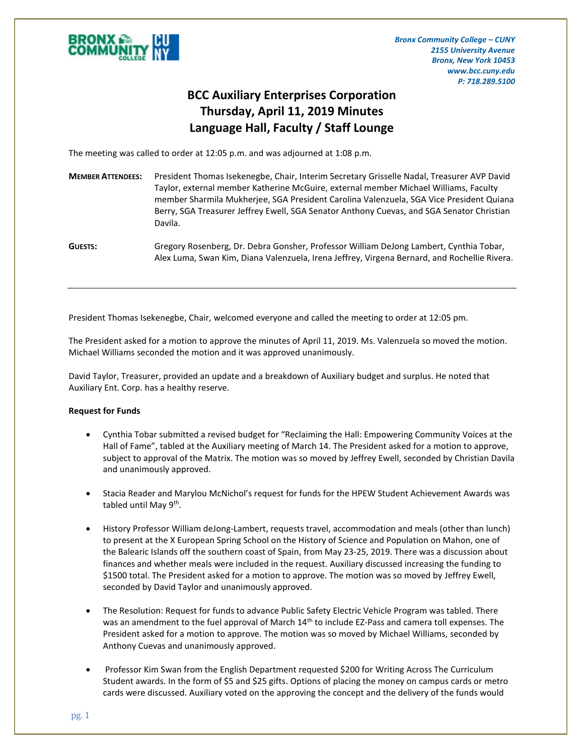

*Bronx Community College – CUNY 2155 University Avenue Bronx, New York 10453 www.bcc.cuny.edu P: 718.289.5100*

## **BCC Auxiliary Enterprises Corporation Thursday, April 11, 2019 Minutes Language Hall, Faculty / Staff Lounge**

The meeting was called to order at 12:05 p.m. and was adjourned at 1:08 p.m.

- **MEMBER ATTENDEES:** President Thomas Isekenegbe, Chair, Interim Secretary Grisselle Nadal, Treasurer AVP David Taylor, external member Katherine McGuire, external member Michael Williams, Faculty member Sharmila Mukherjee, SGA President Carolina Valenzuela, SGA Vice President Quiana Berry, SGA Treasurer Jeffrey Ewell, SGA Senator Anthony Cuevas, and SGA Senator Christian Davila.
- **GUESTS:** Gregory Rosenberg, Dr. Debra Gonsher, Professor William DeJong Lambert, Cynthia Tobar, Alex Luma, Swan Kim, Diana Valenzuela, Irena Jeffrey, Virgena Bernard, and Rochellie Rivera.

President Thomas Isekenegbe, Chair, welcomed everyone and called the meeting to order at 12:05 pm.

The President asked for a motion to approve the minutes of April 11, 2019. Ms. Valenzuela so moved the motion. Michael Williams seconded the motion and it was approved unanimously.

David Taylor, Treasurer, provided an update and a breakdown of Auxiliary budget and surplus. He noted that Auxiliary Ent. Corp. has a healthy reserve.

## **Request for Funds**

- Cynthia Tobar submitted a revised budget for "Reclaiming the Hall: Empowering Community Voices at the Hall of Fame", tabled at the Auxiliary meeting of March 14. The President asked for a motion to approve, subject to approval of the Matrix. The motion was so moved by Jeffrey Ewell, seconded by Christian Davila and unanimously approved.
- Stacia Reader and Marylou McNichol's request for funds for the HPEW Student Achievement Awards was tabled until May 9<sup>th</sup>.
- History Professor William deJong-Lambert, requests travel, accommodation and meals (other than lunch) to present at the X European Spring School on the History of Science and Population on Mahon, one of the Balearic Islands off the southern coast of Spain, from May 23-25, 2019. There was a discussion about finances and whether meals were included in the request. Auxiliary discussed increasing the funding to \$1500 total. The President asked for a motion to approve. The motion was so moved by Jeffrey Ewell, seconded by David Taylor and unanimously approved.
- The Resolution: Request for funds to advance Public Safety Electric Vehicle Program was tabled. There was an amendment to the fuel approval of March 14<sup>th</sup> to include EZ-Pass and camera toll expenses. The President asked for a motion to approve. The motion was so moved by Michael Williams, seconded by Anthony Cuevas and unanimously approved.
- Professor Kim Swan from the English Department requested \$200 for Writing Across The Curriculum Student awards. In the form of \$5 and \$25 gifts. Options of placing the money on campus cards or metro cards were discussed. Auxiliary voted on the approving the concept and the delivery of the funds would